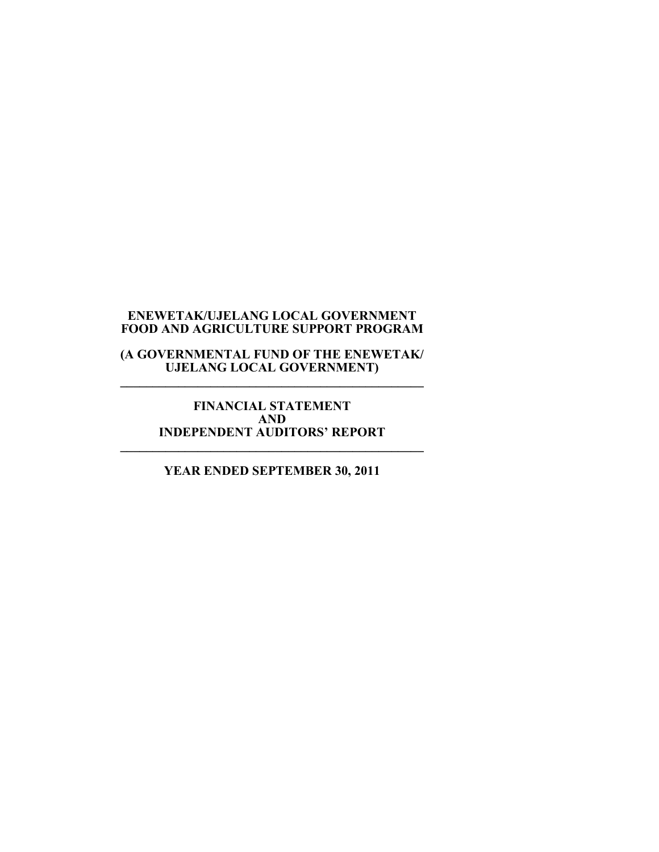**(A GOVERNMENTAL FUND OF THE ENEWETAK/ UJELANG LOCAL GOVERNMENT) \_\_\_\_\_\_\_\_\_\_\_\_\_\_\_\_\_\_\_\_\_\_\_\_\_\_\_\_\_\_\_\_\_\_\_\_\_\_\_\_\_\_\_\_\_\_\_** 

**FINANCIAL STATEMENT AND INDEPENDENT AUDITORS' REPORT \_\_\_\_\_\_\_\_\_\_\_\_\_\_\_\_\_\_\_\_\_\_\_\_\_\_\_\_\_\_\_\_\_\_\_\_\_\_\_\_\_\_\_\_\_\_\_** 

**YEAR ENDED SEPTEMBER 30, 2011**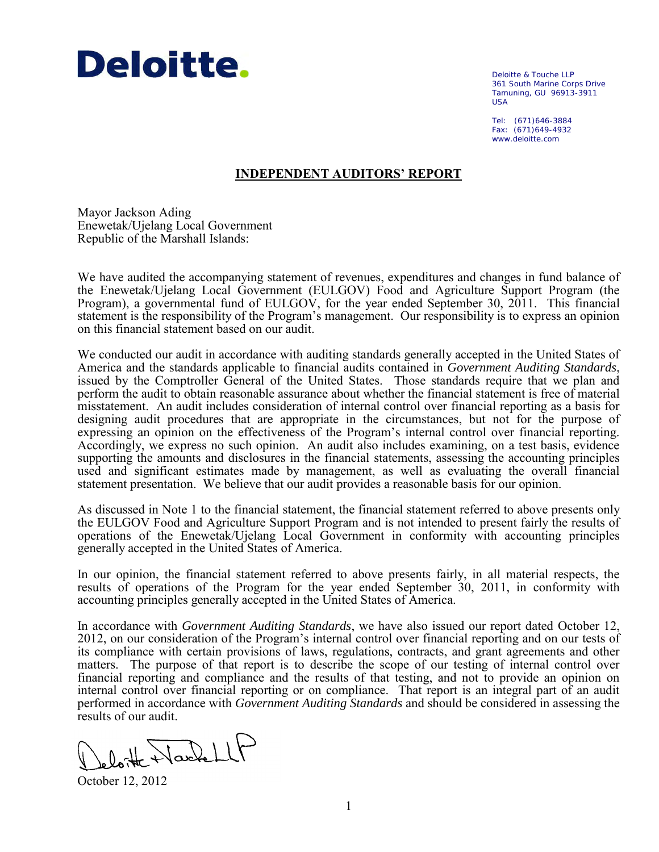

Deloitte & Touche LLP 361 South Marine Corps Drive Tamuning, GU 96913-3911 USA

Tel: (671)646-3884 Fax: (671)649-4932 www.deloitte.com

## **INDEPENDENT AUDITORS' REPORT**

Mayor Jackson Ading Enewetak/Ujelang Local Government Republic of the Marshall Islands:

We have audited the accompanying statement of revenues, expenditures and changes in fund balance of the Enewetak/Ujelang Local Government (EULGOV) Food and Agriculture Support Program (the Program), a governmental fund of EULGOV, for the year ended September 30, 2011. This financial statement is the responsibility of the Program's management. Our responsibility is to express an opinion on this financial statement based on our audit.

We conducted our audit in accordance with auditing standards generally accepted in the United States of America and the standards applicable to financial audits contained in *Government Auditing Standards*, issued by the Comptroller General of the United States. Those standards require that we plan and perform the audit to obtain reasonable assurance about whether the financial statement is free of material misstatement. An audit includes consideration of internal control over financial reporting as a basis for designing audit procedures that are appropriate in the circumstances, but not for the purpose of expressing an opinion on the effectiveness of the Program's internal control over financial reporting. Accordingly, we express no such opinion. An audit also includes examining, on a test basis, evidence supporting the amounts and disclosures in the financial statements, assessing the accounting principles used and significant estimates made by management, as well as evaluating the overall financial statement presentation. We believe that our audit provides a reasonable basis for our opinion.

As discussed in Note 1 to the financial statement, the financial statement referred to above presents only the EULGOV Food and Agriculture Support Program and is not intended to present fairly the results of operations of the Enewetak/Ujelang Local Government in conformity with accounting principles generally accepted in the United States of America.

In our opinion, the financial statement referred to above presents fairly, in all material respects, the results of operations of the Program for the year ended September 30, 2011, in conformity with accounting principles generally accepted in the United States of America.

In accordance with *Government Auditing Standards*, we have also issued our report dated October 12, 2012, on our consideration of the Program's internal control over financial reporting and on our tests of its compliance with certain provisions of laws, regulations, contracts, and grant agreements and other matters. The purpose of that report is to describe the scope of our testing of internal control over financial reporting and compliance and the results of that testing, and not to provide an opinion on internal control over financial reporting or on compliance. That report is an integral part of an audit performed in accordance with *Government Auditing Standards* and should be considered in assessing the results of our audit.

loite Nachell

October 12, 2012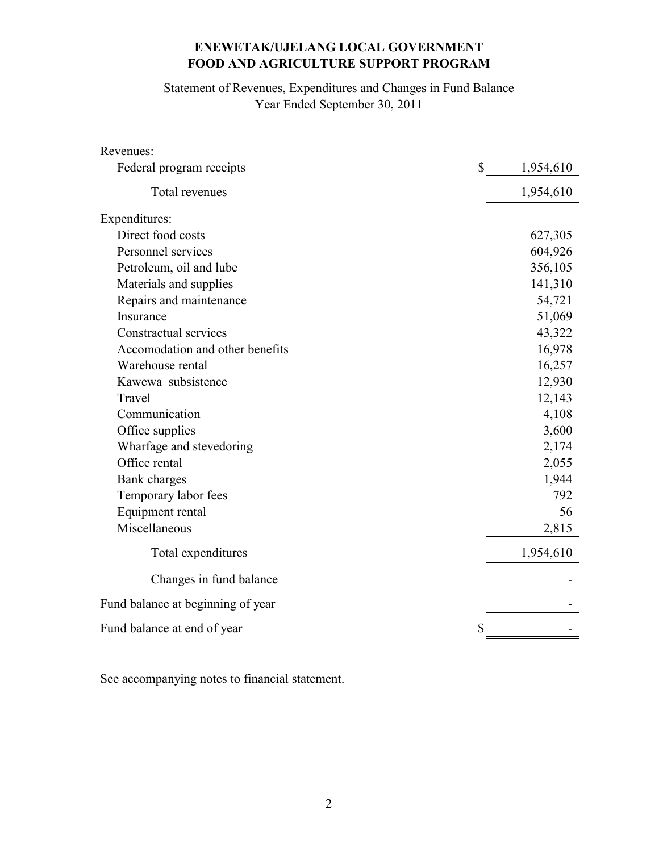Statement of Revenues, Expenditures and Changes in Fund Balance Year Ended September 30, 2011

| Revenues:                         |                           |
|-----------------------------------|---------------------------|
| Federal program receipts          | $\mathbb{S}$<br>1,954,610 |
| Total revenues                    | 1,954,610                 |
| Expenditures:                     |                           |
| Direct food costs                 | 627,305                   |
| Personnel services                | 604,926                   |
| Petroleum, oil and lube           | 356,105                   |
| Materials and supplies            | 141,310                   |
| Repairs and maintenance           | 54,721                    |
| Insurance                         | 51,069                    |
| Constractual services             | 43,322                    |
| Accomodation and other benefits   | 16,978                    |
| Warehouse rental                  | 16,257                    |
| Kawewa subsistence                | 12,930                    |
| Travel                            | 12,143                    |
| Communication                     | 4,108                     |
| Office supplies                   | 3,600                     |
| Wharfage and stevedoring          | 2,174                     |
| Office rental                     | 2,055                     |
| Bank charges                      | 1,944                     |
| Temporary labor fees              | 792                       |
| Equipment rental                  | 56                        |
| Miscellaneous                     | 2,815                     |
| Total expenditures                | 1,954,610                 |
| Changes in fund balance           |                           |
| Fund balance at beginning of year |                           |
| Fund balance at end of year       | \$                        |

See accompanying notes to financial statement.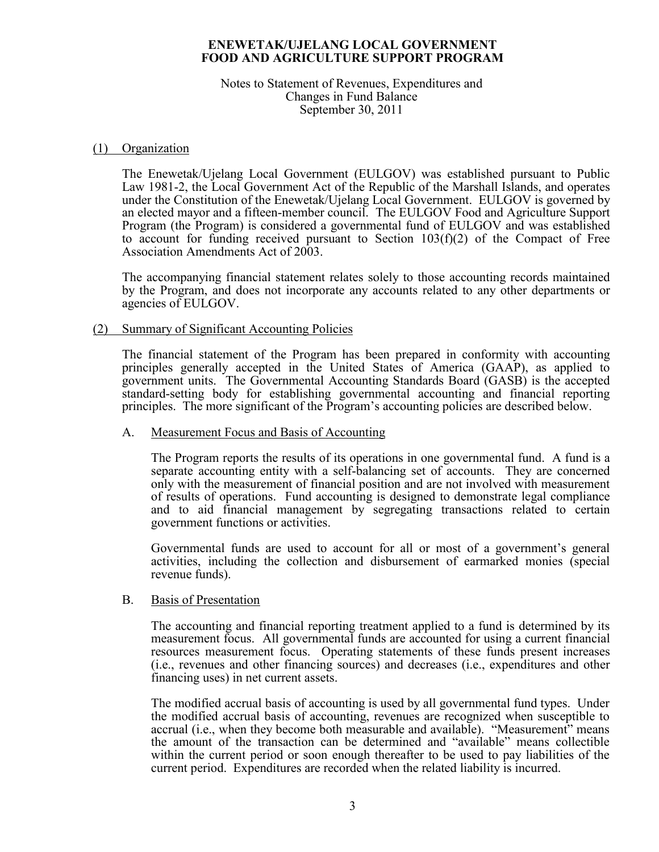#### Notes to Statement of Revenues, Expenditures and Changes in Fund Balance September 30, 2011

#### (1) Organization

 The Enewetak/Ujelang Local Government (EULGOV) was established pursuant to Public Law 1981-2, the Local Government Act of the Republic of the Marshall Islands, and operates under the Constitution of the Enewetak/Ujelang Local Government. EULGOV is governed by an elected mayor and a fifteen-member council. The EULGOV Food and Agriculture Support Program (the Program) is considered a governmental fund of EULGOV and was established to account for funding received pursuant to Section 103(f)(2) of the Compact of Free Association Amendments Act of 2003.

 The accompanying financial statement relates solely to those accounting records maintained by the Program, and does not incorporate any accounts related to any other departments or agencies of EULGOV.

#### (2) Summary of Significant Accounting Policies

 The financial statement of the Program has been prepared in conformity with accounting principles generally accepted in the United States of America (GAAP), as applied to government units. The Governmental Accounting Standards Board (GASB) is the accepted standard-setting body for establishing governmental accounting and financial reporting principles. The more significant of the Program's accounting policies are described below.

### A. Measurement Focus and Basis of Accounting

The Program reports the results of its operations in one governmental fund. A fund is a separate accounting entity with a self-balancing set of accounts. They are concerned only with the measurement of financial position and are not involved with measurement of results of operations. Fund accounting is designed to demonstrate legal compliance and to aid financial management by segregating transactions related to certain government functions or activities.

Governmental funds are used to account for all or most of a government's general activities, including the collection and disbursement of earmarked monies (special revenue funds).

#### B. Basis of Presentation

The accounting and financial reporting treatment applied to a fund is determined by its measurement focus. All governmental funds are accounted for using a current financial resources measurement focus. Operating statements of these funds present increases (i.e., revenues and other financing sources) and decreases (i.e., expenditures and other financing uses) in net current assets.

The modified accrual basis of accounting is used by all governmental fund types. Under the modified accrual basis of accounting, revenues are recognized when susceptible to accrual (i.e., when they become both measurable and available). "Measurement" means the amount of the transaction can be determined and "available" means collectible within the current period or soon enough thereafter to be used to pay liabilities of the current period. Expenditures are recorded when the related liability is incurred.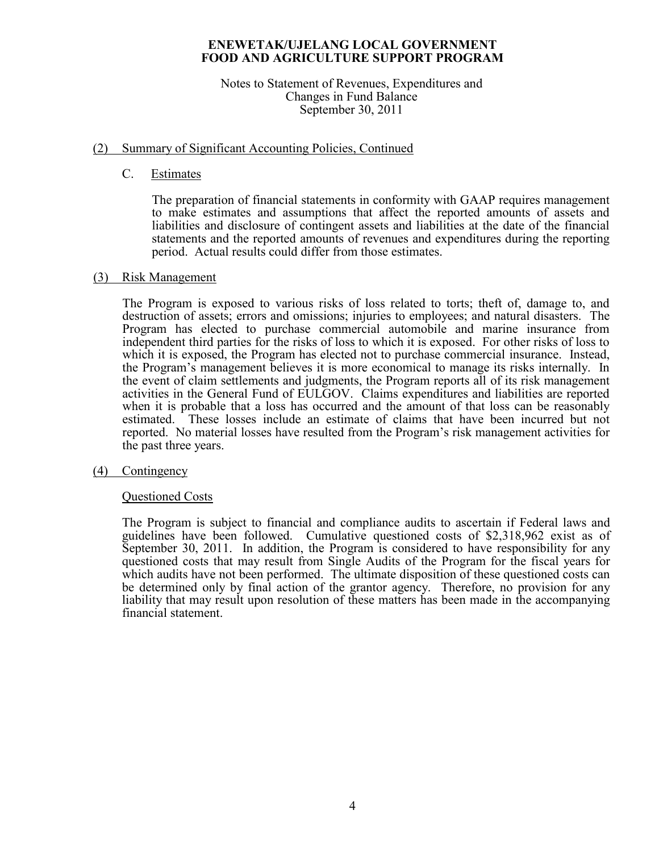#### Notes to Statement of Revenues, Expenditures and Changes in Fund Balance September 30, 2011

## (2) Summary of Significant Accounting Policies, Continued

## C. Estimates

 The preparation of financial statements in conformity with GAAP requires management to make estimates and assumptions that affect the reported amounts of assets and liabilities and disclosure of contingent assets and liabilities at the date of the financial statements and the reported amounts of revenues and expenditures during the reporting period. Actual results could differ from those estimates.

## (3) Risk Management

The Program is exposed to various risks of loss related to torts; theft of, damage to, and destruction of assets; errors and omissions; injuries to employees; and natural disasters. The Program has elected to purchase commercial automobile and marine insurance from independent third parties for the risks of loss to which it is exposed. For other risks of loss to which it is exposed, the Program has elected not to purchase commercial insurance. Instead, the Program's management believes it is more economical to manage its risks internally. In the event of claim settlements and judgments, the Program reports all of its risk management activities in the General Fund of EULGOV. Claims expenditures and liabilities are reported when it is probable that a loss has occurred and the amount of that loss can be reasonably estimated. These losses include an estimate of claims that have been incurred but not reported. No material losses have resulted from the Program's risk management activities for the past three years.

## (4) Contingency

## Questioned Costs

 The Program is subject to financial and compliance audits to ascertain if Federal laws and guidelines have been followed. Cumulative questioned costs of \$2,318,962 exist as of September 30, 2011. In addition, the Program is considered to have responsibility for any questioned costs that may result from Single Audits of the Program for the fiscal years for which audits have not been performed. The ultimate disposition of these questioned costs can be determined only by final action of the grantor agency. Therefore, no provision for any liability that may result upon resolution of these matters has been made in the accompanying financial statement.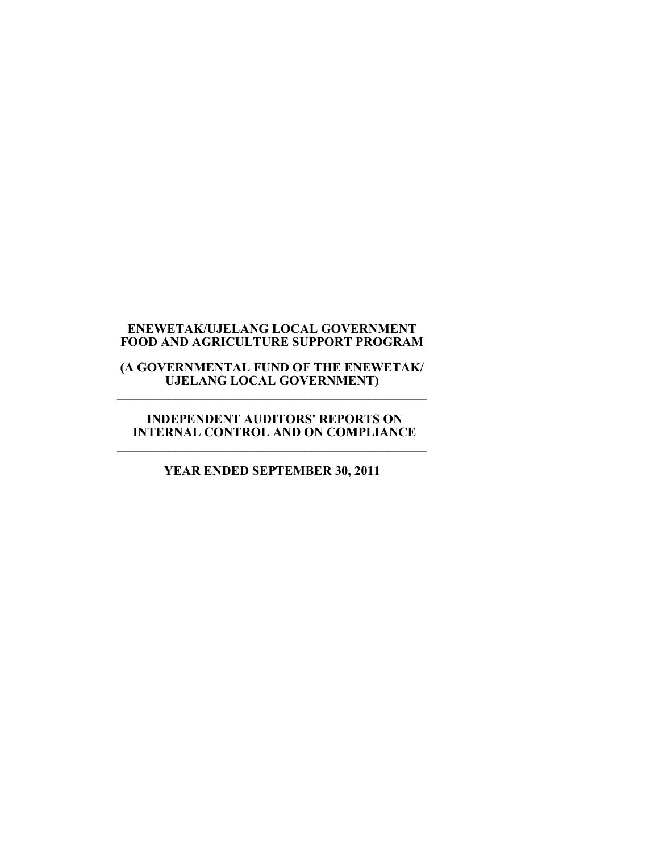#### **(A GOVERNMENTAL FUND OF THE ENEWETAK/ UJELANG LOCAL GOVERNMENT) \_\_\_\_\_\_\_\_\_\_\_\_\_\_\_\_\_\_\_\_\_\_\_\_\_\_\_\_\_\_\_\_\_\_\_\_\_\_\_\_\_\_\_\_\_\_\_\_**

#### **INDEPENDENT AUDITORS' REPORTS ON INTERNAL CONTROL AND ON COMPLIANCE \_\_\_\_\_\_\_\_\_\_\_\_\_\_\_\_\_\_\_\_\_\_\_\_\_\_\_\_\_\_\_\_\_\_\_\_\_\_\_\_\_\_\_\_\_\_\_\_**

# **YEAR ENDED SEPTEMBER 30, 2011**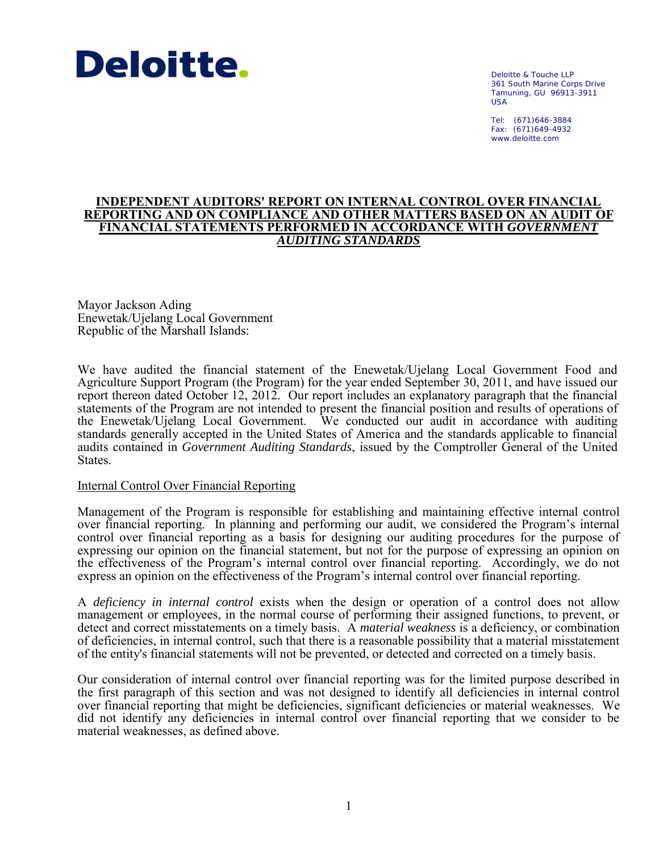

Deloitte & Touche LLP 361 South Marine Corps Drive Tamuning, GU 96913-3911 USA

Tel: (671)646-3884 Fax: (671)649-4932 www.deloitte.com

#### **INDEPENDENT AUDITORS' REPORT ON INTERNAL CONTROL OVER FINANCIAL REPORTING AND ON COMPLIANCE AND OTHER MATTERS BASED ON AN AUDIT OF FINANCIAL STATEMENTS PERFORMED IN ACCORDANCE WITH** *GOVERNMENT AUDITING STANDARDS*

Mayor Jackson Ading Enewetak/Ujelang Local Government Republic of the Marshall Islands:

We have audited the financial statement of the Enewetak/Ujelang Local Government Food and Agriculture Support Program (the Program) for the year ended September 30, 2011, and have issued our report thereon dated October 12, 2012. Our report includes an explanatory paragraph that the financial statements of the Program are not intended to present the financial position and results of operations of the Enewetak/Ujelang Local Government. We conducted our audit in accordance with auditing standards generally accepted in the United States of America and the standards applicable to financial audits contained in *Government Auditing Standards*, issued by the Comptroller General of the United States.

#### Internal Control Over Financial Reporting

Management of the Program is responsible for establishing and maintaining effective internal control over financial reporting. In planning and performing our audit, we considered the Program's internal control over financial reporting as a basis for designing our auditing procedures for the purpose of expressing our opinion on the financial statement, but not for the purpose of expressing an opinion on the effectiveness of the Program's internal control over financial reporting. Accordingly, we do not express an opinion on the effectiveness of the Program's internal control over financial reporting.

A *deficiency in internal control* exists when the design or operation of a control does not allow management or employees, in the normal course of performing their assigned functions, to prevent, or detect and correct misstatements on a timely basis. A *material weakness* is a deficiency, or combination of deficiencies, in internal control, such that there is a reasonable possibility that a material misstatement of the entity's financial statements will not be prevented, or detected and corrected on a timely basis.

Our consideration of internal control over financial reporting was for the limited purpose described in the first paragraph of this section and was not designed to identify all deficiencies in internal control over financial reporting that might be deficiencies, significant deficiencies or material weaknesses. We did not identify any deficiencies in internal control over financial reporting that we consider to be material weaknesses, as defined above.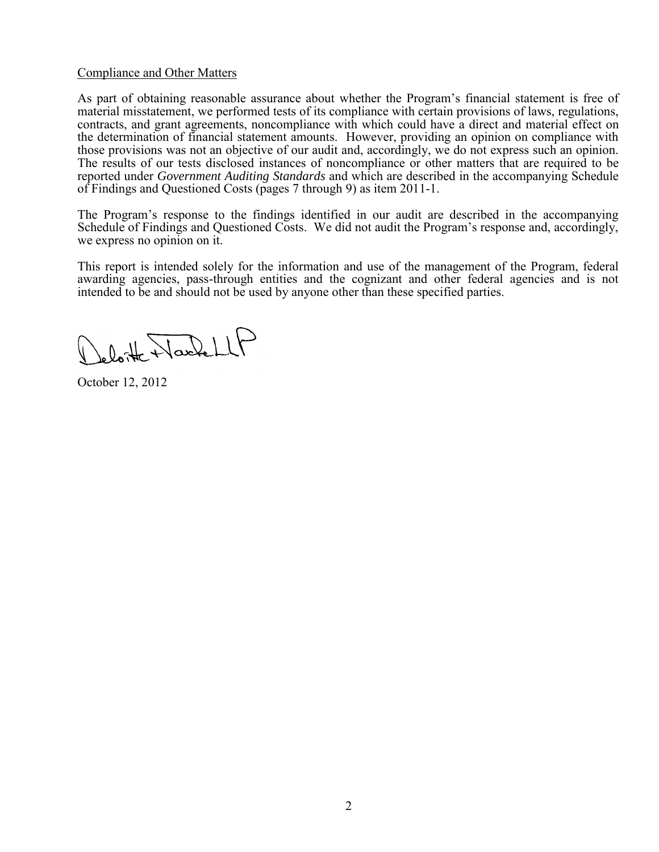### Compliance and Other Matters

As part of obtaining reasonable assurance about whether the Program's financial statement is free of material misstatement, we performed tests of its compliance with certain provisions of laws, regulations, contracts, and grant agreements, noncompliance with which could have a direct and material effect on the determination of financial statement amounts. However, providing an opinion on compliance with those provisions was not an objective of our audit and, accordingly, we do not express such an opinion. The results of our tests disclosed instances of noncompliance or other matters that are required to be reported under *Government Auditing Standards* and which are described in the accompanying Schedule of Findings and Questioned Costs (pages 7 through 9) as item 2011-1.

The Program's response to the findings identified in our audit are described in the accompanying Schedule of Findings and Questioned Costs. We did not audit the Program's response and, accordingly, we express no opinion on it.

This report is intended solely for the information and use of the management of the Program, federal awarding agencies, pass-through entities and the cognizant and other federal agencies and is not intended to be and should not be used by anyone other than these specified parties.

leloite NachellP

October 12, 2012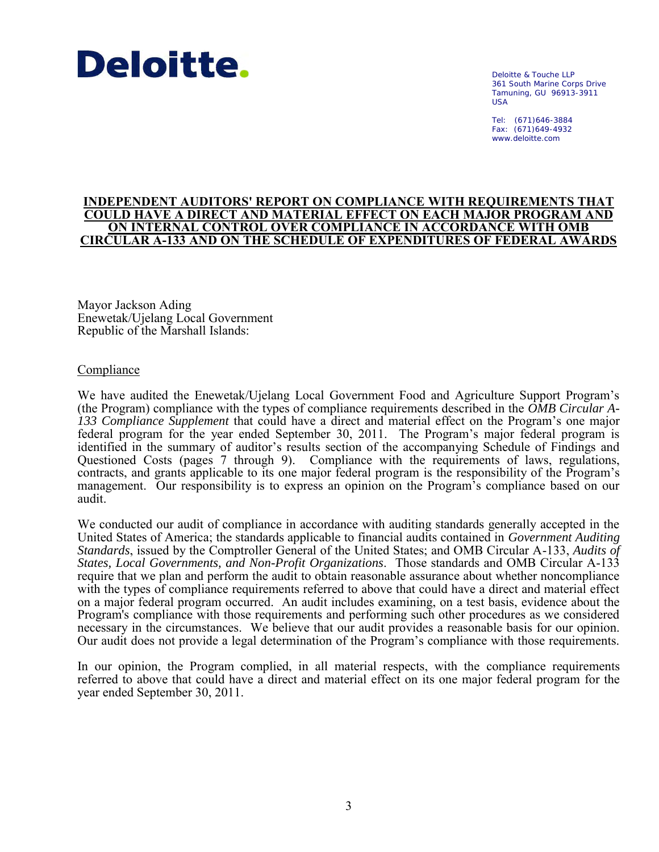

Deloitte & Touche LLP 361 South Marine Corps Drive Tamuning, GU 96913-3911 USA

Tel: (671)646-3884 Fax: (671)649-4932 www.deloitte.com

#### **INDEPENDENT AUDITORS' REPORT ON COMPLIANCE WITH REQUIREMENTS THAT COULD HAVE A DIRECT AND MATERIAL EFFECT ON EACH MAJOR PROGRAM AND ON INTERNAL CONTROL OVER COMPLIANCE IN ACCORDANCE WITH OMB CIRCULAR A-133 AND ON THE SCHEDULE OF EXPENDITURES OF FEDERAL AWARDS**

Mayor Jackson Ading Enewetak/Ujelang Local Government Republic of the Marshall Islands:

#### Compliance

We have audited the Enewetak/Ujelang Local Government Food and Agriculture Support Program's (the Program) compliance with the types of compliance requirements described in the *OMB Circular A-133 Compliance Supplement* that could have a direct and material effect on the Program's one major federal program for the year ended September 30, 2011. The Program's major federal program is identified in the summary of auditor's results section of the accompanying Schedule of Findings and Questioned Costs (pages 7 through 9). Compliance with the requirements of laws, regulations, contracts, and grants applicable to its one major federal program is the responsibility of the Program's management. Our responsibility is to express an opinion on the Program's compliance based on our audit.

We conducted our audit of compliance in accordance with auditing standards generally accepted in the United States of America; the standards applicable to financial audits contained in *Government Auditing Standards*, issued by the Comptroller General of the United States; and OMB Circular A-133, *Audits of States, Local Governments, and Non-Profit Organizations*. Those standards and OMB Circular A-133 require that we plan and perform the audit to obtain reasonable assurance about whether noncompliance with the types of compliance requirements referred to above that could have a direct and material effect on a major federal program occurred. An audit includes examining, on a test basis, evidence about the Program's compliance with those requirements and performing such other procedures as we considered necessary in the circumstances. We believe that our audit provides a reasonable basis for our opinion. Our audit does not provide a legal determination of the Program's compliance with those requirements.

In our opinion, the Program complied, in all material respects, with the compliance requirements referred to above that could have a direct and material effect on its one major federal program for the year ended September 30, 2011.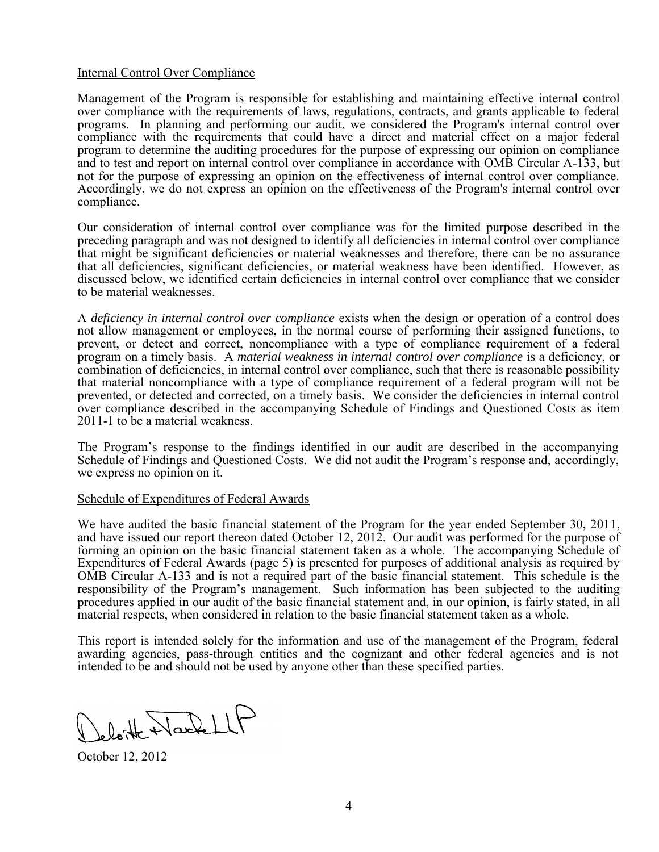#### Internal Control Over Compliance

Management of the Program is responsible for establishing and maintaining effective internal control over compliance with the requirements of laws, regulations, contracts, and grants applicable to federal programs. In planning and performing our audit, we considered the Program's internal control over compliance with the requirements that could have a direct and material effect on a major federal program to determine the auditing procedures for the purpose of expressing our opinion on compliance and to test and report on internal control over compliance in accordance with OMB Circular A-133, but not for the purpose of expressing an opinion on the effectiveness of internal control over compliance. Accordingly, we do not express an opinion on the effectiveness of the Program's internal control over compliance.

Our consideration of internal control over compliance was for the limited purpose described in the preceding paragraph and was not designed to identify all deficiencies in internal control over compliance that might be significant deficiencies or material weaknesses and therefore, there can be no assurance that all deficiencies, significant deficiencies, or material weakness have been identified. However, as discussed below, we identified certain deficiencies in internal control over compliance that we consider to be material weaknesses.

A *deficiency in internal control over compliance* exists when the design or operation of a control does not allow management or employees, in the normal course of performing their assigned functions, to prevent, or detect and correct, noncompliance with a type of compliance requirement of a federal program on a timely basis. A *material weakness in internal control over compliance* is a deficiency, or combination of deficiencies, in internal control over compliance, such that there is reasonable possibility that material noncompliance with a type of compliance requirement of a federal program will not be prevented, or detected and corrected, on a timely basis. We consider the deficiencies in internal control over compliance described in the accompanying Schedule of Findings and Questioned Costs as item 2011-1 to be a material weakness.

The Program's response to the findings identified in our audit are described in the accompanying Schedule of Findings and Questioned Costs. We did not audit the Program's response and, accordingly, we express no opinion on it.

#### Schedule of Expenditures of Federal Awards

We have audited the basic financial statement of the Program for the year ended September 30, 2011, and have issued our report thereon dated October 12, 2012. Our audit was performed for the purpose of forming an opinion on the basic financial statement taken as a whole. The accompanying Schedule of Expenditures of Federal Awards (page 5) is presented for purposes of additional analysis as required by OMB Circular A-133 and is not a required part of the basic financial statement. This schedule is the responsibility of the Program's management. Such information has been subjected to the auditing procedures applied in our audit of the basic financial statement and, in our opinion, is fairly stated, in all material respects, when considered in relation to the basic financial statement taken as a whole.

This report is intended solely for the information and use of the management of the Program, federal awarding agencies, pass-through entities and the cognizant and other federal agencies and is not intended to be and should not be used by anyone other than these specified parties.

eloite Nache LLF

October 12, 2012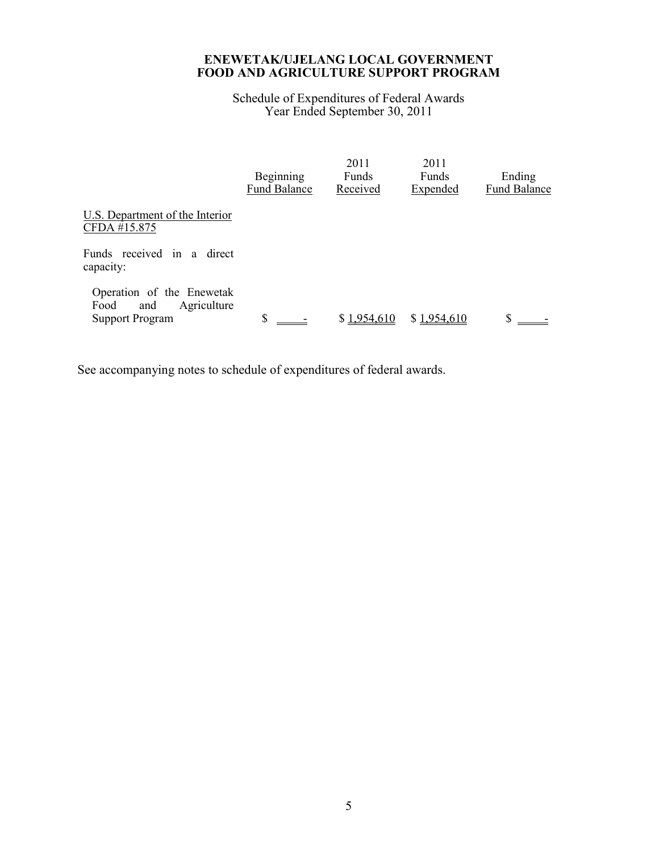Schedule of Expenditures of Federal Awards Year Ended September 30, 2011

|                                                                                   | Beginning<br><b>Fund Balance</b> | 2011<br>Funds<br>Received | 2011<br>Funds<br>Expended | Ending<br><b>Fund Balance</b> |
|-----------------------------------------------------------------------------------|----------------------------------|---------------------------|---------------------------|-------------------------------|
| U.S. Department of the Interior<br>CFDA #15.875                                   |                                  |                           |                           |                               |
| Funds received in a direct<br>capacity:                                           |                                  |                           |                           |                               |
| Operation of the Enewetak<br>Agriculture<br>Food<br>and<br><b>Support Program</b> | \$                               | \$1.954.610               | \$1.954.610               | \$                            |

See accompanying notes to schedule of expenditures of federal awards.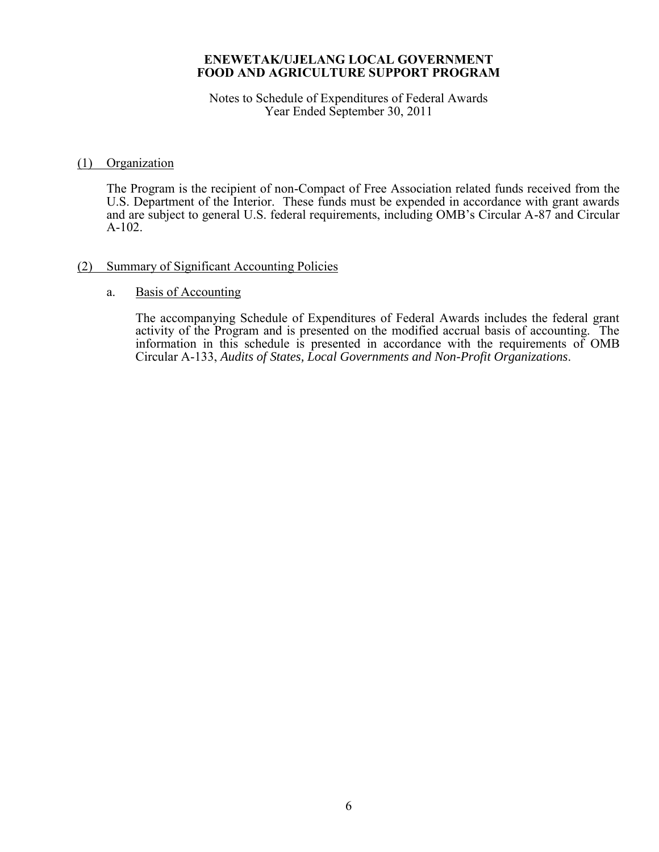Notes to Schedule of Expenditures of Federal Awards Year Ended September 30, 2011

## (1) Organization

 The Program is the recipient of non-Compact of Free Association related funds received from the U.S. Department of the Interior. These funds must be expended in accordance with grant awards and are subject to general U.S. federal requirements, including OMB's Circular A-87 and Circular A-102.

## (2) Summary of Significant Accounting Policies

#### a. Basis of Accounting

The accompanying Schedule of Expenditures of Federal Awards includes the federal grant activity of the Program and is presented on the modified accrual basis of accounting. The information in this schedule is presented in accordance with the requirements of OMB Circular A-133, *Audits of States, Local Governments and Non-Profit Organizations*.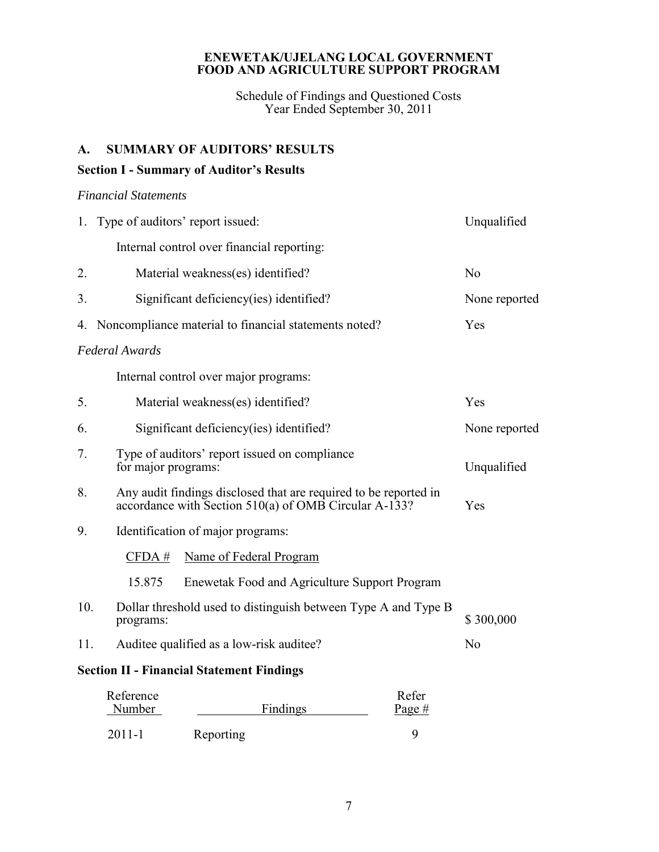Schedule of Findings and Questioned Costs Year Ended September 30, 2011

## **A. SUMMARY OF AUDITORS' RESULTS**

## **Section I - Summary of Auditor's Results**

## *Financial Statements*

|                                                  | 1. Type of auditors' report issued:                                                                                       | Unqualified    |  |
|--------------------------------------------------|---------------------------------------------------------------------------------------------------------------------------|----------------|--|
|                                                  | Internal control over financial reporting:                                                                                |                |  |
| 2.                                               | Material weakness(es) identified?                                                                                         | N <sub>0</sub> |  |
| 3.                                               | Significant deficiency(ies) identified?                                                                                   | None reported  |  |
| 4.                                               | Noncompliance material to financial statements noted?                                                                     | Yes            |  |
|                                                  | <b>Federal Awards</b>                                                                                                     |                |  |
|                                                  | Internal control over major programs:                                                                                     |                |  |
| 5.                                               | Material weakness(es) identified?                                                                                         | Yes            |  |
| 6.                                               | Significant deficiency (ies) identified?                                                                                  | None reported  |  |
| 7.                                               | Type of auditors' report issued on compliance<br>for major programs:                                                      | Unqualified    |  |
| 8.                                               | Any audit findings disclosed that are required to be reported in<br>accordance with Section 510(a) of OMB Circular A-133? | Yes            |  |
| 9.                                               | Identification of major programs:                                                                                         |                |  |
|                                                  | CFDA#<br>Name of Federal Program                                                                                          |                |  |
|                                                  | 15.875<br>Enewetak Food and Agriculture Support Program                                                                   |                |  |
| 10.                                              | Dollar threshold used to distinguish between Type A and Type B<br>programs:                                               | \$300,000      |  |
| 11.                                              | Auditee qualified as a low-risk auditee?                                                                                  | N <sub>0</sub> |  |
| <b>Section II - Financial Statement Findings</b> |                                                                                                                           |                |  |
|                                                  | Refer<br>Reference<br>Findings<br>Number<br>Page #                                                                        |                |  |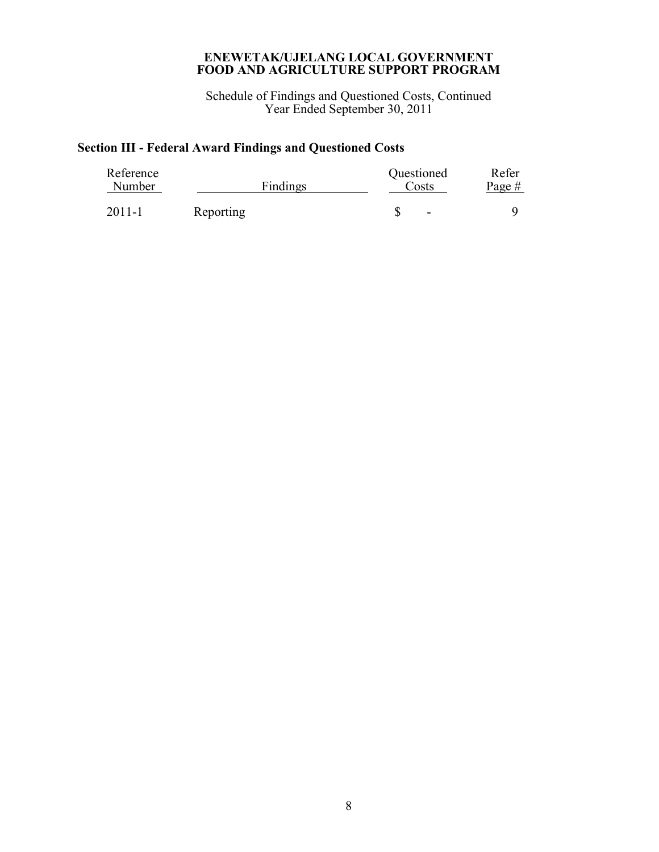Schedule of Findings and Questioned Costs, Continued Year Ended September 30, 2011

# **Section III - Federal Award Findings and Questioned Costs**

| Reference<br>Number |           | Findings | Questioned<br>Costs      | Refer<br>Page # |
|---------------------|-----------|----------|--------------------------|-----------------|
| 2011-1              | Reporting |          | $\overline{\phantom{a}}$ |                 |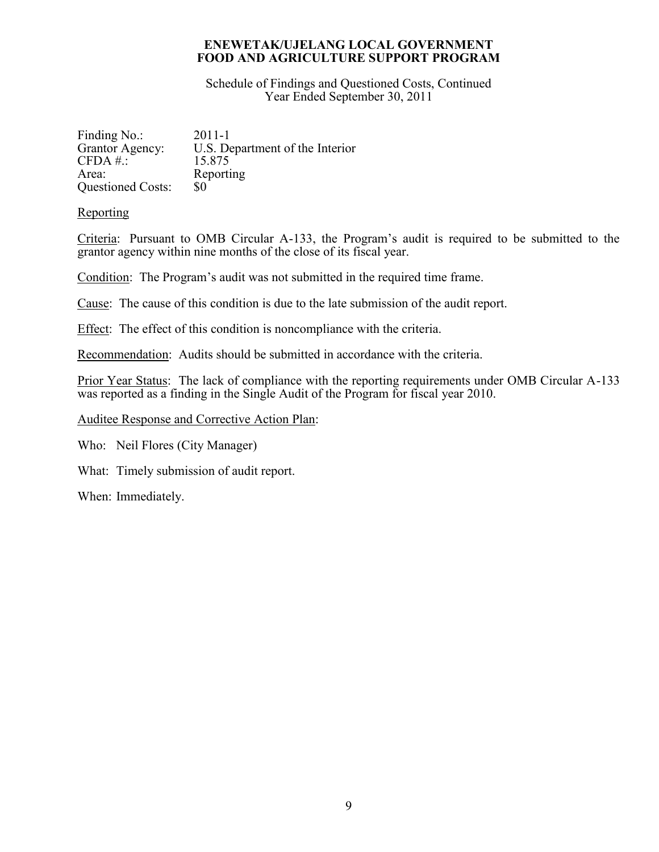Schedule of Findings and Questioned Costs, Continued Year Ended September 30, 2011

| Finding No.:             | $2011 - 1$                      |
|--------------------------|---------------------------------|
| Grantor Agency:          | U.S. Department of the Interior |
| $CFDA \#$ :              | 15 875                          |
| Area:                    | Reporting                       |
| <b>Questioned Costs:</b> | \$0                             |

## **Reporting**

Criteria: Pursuant to OMB Circular A-133, the Program's audit is required to be submitted to the grantor agency within nine months of the close of its fiscal year.

Condition: The Program's audit was not submitted in the required time frame.

Cause: The cause of this condition is due to the late submission of the audit report.

Effect: The effect of this condition is noncompliance with the criteria.

Recommendation: Audits should be submitted in accordance with the criteria.

Prior Year Status: The lack of compliance with the reporting requirements under OMB Circular A-133 was reported as a finding in the Single Audit of the Program for fiscal year 2010.

Auditee Response and Corrective Action Plan:

Who: Neil Flores (City Manager)

What: Timely submission of audit report.

When: Immediately.